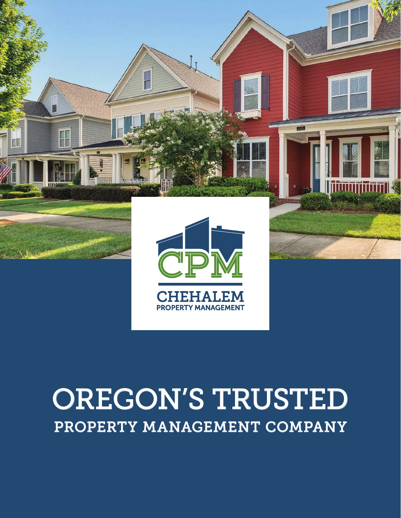

# OREGON'S TRUSTED PROPERTY MANAGEMENT COMPANY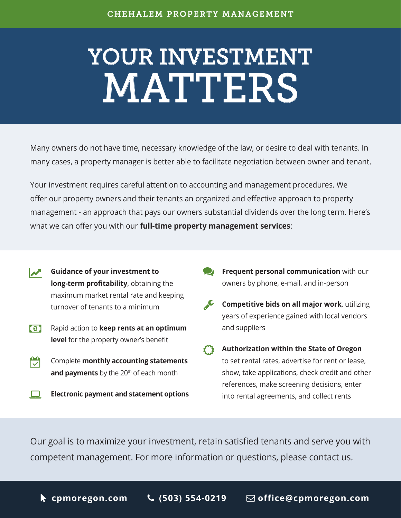# YOUR INVESTMENT MATTERS

Many owners do not have time, necessary knowledge of the law, or desire to deal with tenants. In many cases, a property manager is better able to facilitate negotiation between owner and tenant.

Your investment requires careful attention to accounting and management procedures. We offer our property owners and their tenants an organized and effective approach to property management - an approach that pays our owners substantial dividends over the long term. Here's what we can offer you with our **full-time property management services**:

- **CALC** Guidance of your investment to **long-term profitability**, obtaining the maximum market rental rate and keeping turnover of tenants to a minimum
- Rapid action to **keep rents at an optimum level** for the property owner's benefit  $\Omega$
- Complete **monthly accounting statements**  and payments by the 20<sup>th</sup> of each month 閌
- **Electronic payment and statement options**  $\Box$
- **Frequent personal communication** with our owners by phone, e-mail, and in-person  $\bullet$
- **Competitive bids on all major work**, utilizing years of experience gained with local vendors and suppliers
- **Authorization within the State of Oregon** to set rental rates, advertise for rent or lease, show, take applications, check credit and other references, make screening decisions, enter into rental agreements, and collect rents  $\mathcal{E}^{\prime\prime}$

Our goal is to maximize your investment, retain satisfied tenants and serve you with competent management. For more information or questions, please contact us.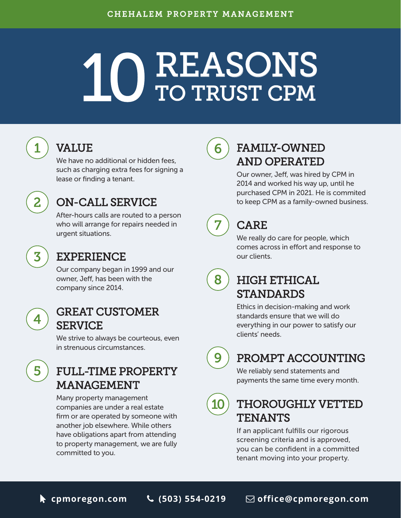# REASONS TO TRUST CPM

## $1$  ) VALUE (6

We have no additional or hidden fees, such as charging extra fees for signing a lease or finding a tenant.

### ON-CALL SERVICE

After-hours calls are routed to a person who will arrange for repairs needed in urgent situations.



2

#### EXPERIENCE

Our company began in 1999 and our owner, Jeff, has been with the company since 2014.



5

#### GREAT CUSTOMER **SERVICE**

We strive to always be courteous, even in strenuous circumstances.

#### FULL-TIME PROPERTY MANAGEMENT

Many property management companies are under a real estate firm or are operated by someone with another job elsewhere. While others have obligations apart from attending to property management, we are fully committed to you.



#### FAMILY-OWNED AND OPERATED

Our owner, Jeff, was hired by CPM in 2014 and worked his way up, until he purchased CPM in 2021. He is commited to keep CPM as a family-owned business.



8

#### CARE

We really do care for people, which comes across in effort and response to our clients.

### HIGH ETHICAL STANDARDS

Ethics in decision-making and work standards ensure that we will do everything in our power to satisfy our clients' needs.

9

#### PROMPT ACCOUNTING

We reliably send statements and payments the same time every month.

## 10

#### THOROUGHLY VETTED **TENANTS**

If an applicant fulfills our rigorous screening criteria and is approved, you can be confident in a committed tenant moving into your property.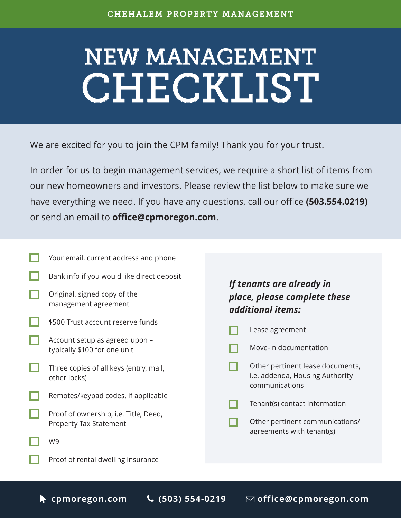# NEW MANAGEMENT CHECKLIST

We are excited for you to join the CPM family! Thank you for your trust.

In order for us to begin management services, we require a short list of items from our new homeowners and investors. Please review the list below to make sure we have everything we need. If you have any questions, call our office **(503.554.0219)** or send an email to **office@cpmoregon.com**.

- Your email, current address and phone
- Bank info if you would like direct deposit
- Original, signed copy of the management agreement
- \$500 Trust account reserve funds
- Account setup as agreed upon typically \$100 for one unit
- Three copies of all keys (entry, mail, other locks)
- Remotes/keypad codes, if applicable
	- Proof of ownership, i.e. Title, Deed, Property Tax Statement
		- W9
			- Proof of rental dwelling insurance

#### *If tenants are already in place, please complete these additional items:*

- Lease agreement
- Move-in documentation П
- Other pertinent lease documents, i.e. addenda, Housing Authority communications
- Tenant(s) contact information П
- Other pertinent communications/ agreements with tenant(s)